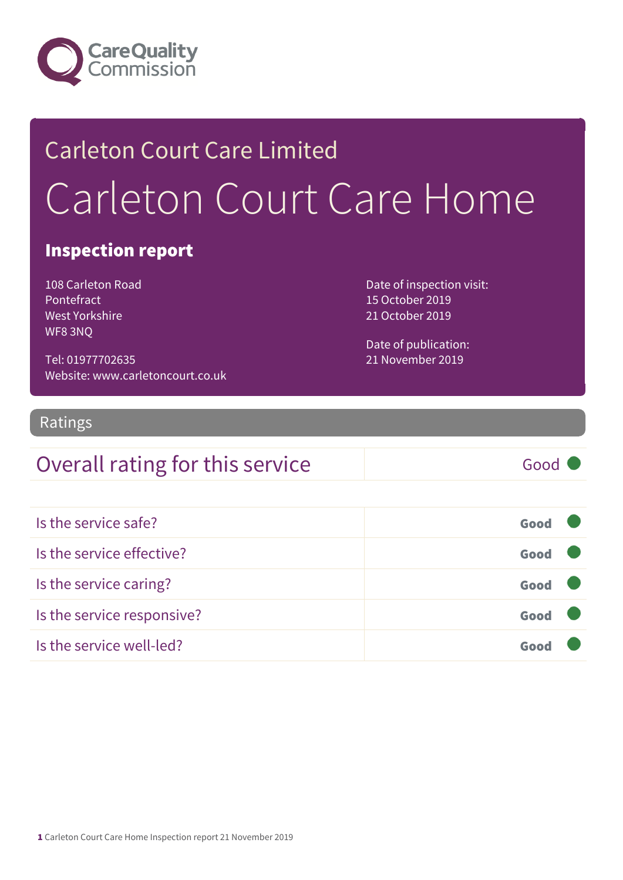

## Carleton Court Care Limited Carleton Court Care Home

#### Inspection report

108 Carleton Road Pontefract West Yorkshire WF8 3NQ

Tel: 01977702635 Website: www.carletoncourt.co.uk Date of inspection visit: 15 October 2019 21 October 2019

Date of publication: 21 November 2019

#### Ratings

### Overall rating for this service Good

| Is the service safe?       | Good |  |
|----------------------------|------|--|
| Is the service effective?  | Good |  |
| Is the service caring?     | Good |  |
| Is the service responsive? | Good |  |
| Is the service well-led?   | Goo  |  |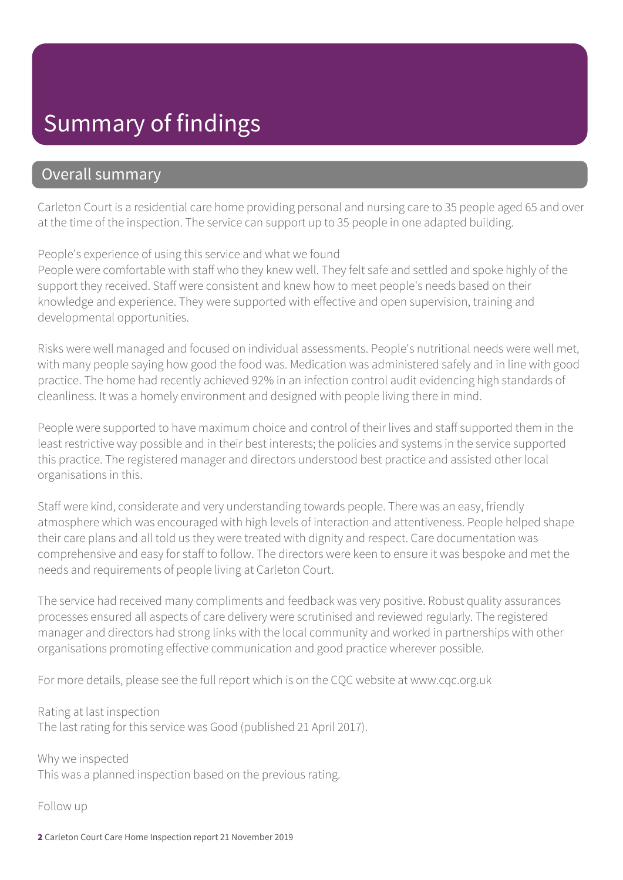### Summary of findings

#### Overall summary

Carleton Court is a residential care home providing personal and nursing care to 35 people aged 65 and over at the time of the inspection. The service can support up to 35 people in one adapted building.

People's experience of using this service and what we found

People were comfortable with staff who they knew well. They felt safe and settled and spoke highly of the support they received. Staff were consistent and knew how to meet people's needs based on their knowledge and experience. They were supported with effective and open supervision, training and developmental opportunities.

Risks were well managed and focused on individual assessments. People's nutritional needs were well met, with many people saying how good the food was. Medication was administered safely and in line with good practice. The home had recently achieved 92% in an infection control audit evidencing high standards of cleanliness. It was a homely environment and designed with people living there in mind.

People were supported to have maximum choice and control of their lives and staff supported them in the least restrictive way possible and in their best interests; the policies and systems in the service supported this practice. The registered manager and directors understood best practice and assisted other local organisations in this.

Staff were kind, considerate and very understanding towards people. There was an easy, friendly atmosphere which was encouraged with high levels of interaction and attentiveness. People helped shape their care plans and all told us they were treated with dignity and respect. Care documentation was comprehensive and easy for staff to follow. The directors were keen to ensure it was bespoke and met the needs and requirements of people living at Carleton Court.

The service had received many compliments and feedback was very positive. Robust quality assurances processes ensured all aspects of care delivery were scrutinised and reviewed regularly. The registered manager and directors had strong links with the local community and worked in partnerships with other organisations promoting effective communication and good practice wherever possible.

For more details, please see the full report which is on the CQC website at www.cqc.org.uk

Rating at last inspection The last rating for this service was Good (published 21 April 2017).

Why we inspected This was a planned inspection based on the previous rating.

Follow up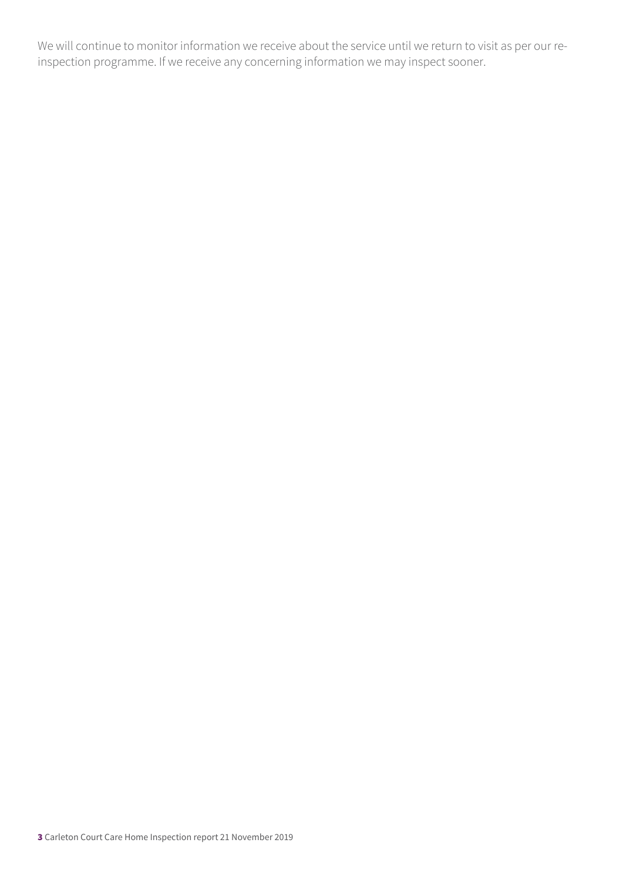We will continue to monitor information we receive about the service until we return to visit as per our reinspection programme. If we receive any concerning information we may inspect sooner.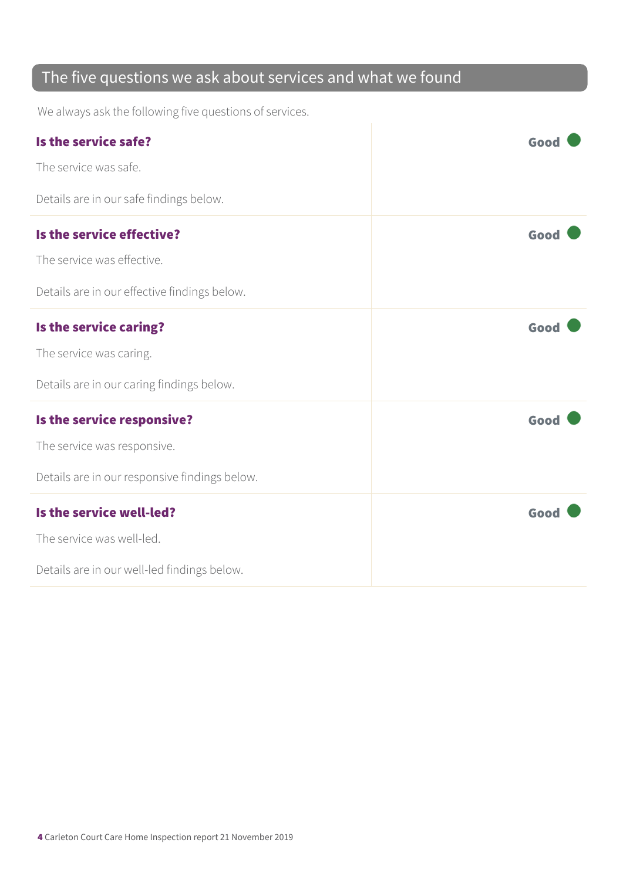### The five questions we ask about services and what we found

We always ask the following five questions of services.

| Is the service safe?                          | Good |
|-----------------------------------------------|------|
| The service was safe.                         |      |
| Details are in our safe findings below.       |      |
| Is the service effective?                     | Good |
| The service was effective.                    |      |
| Details are in our effective findings below.  |      |
| Is the service caring?                        | Good |
| The service was caring.                       |      |
| Details are in our caring findings below.     |      |
| Is the service responsive?                    | Good |
| The service was responsive.                   |      |
| Details are in our responsive findings below. |      |
| Is the service well-led?                      | Good |
| The service was well-led.                     |      |
| Details are in our well-led findings below.   |      |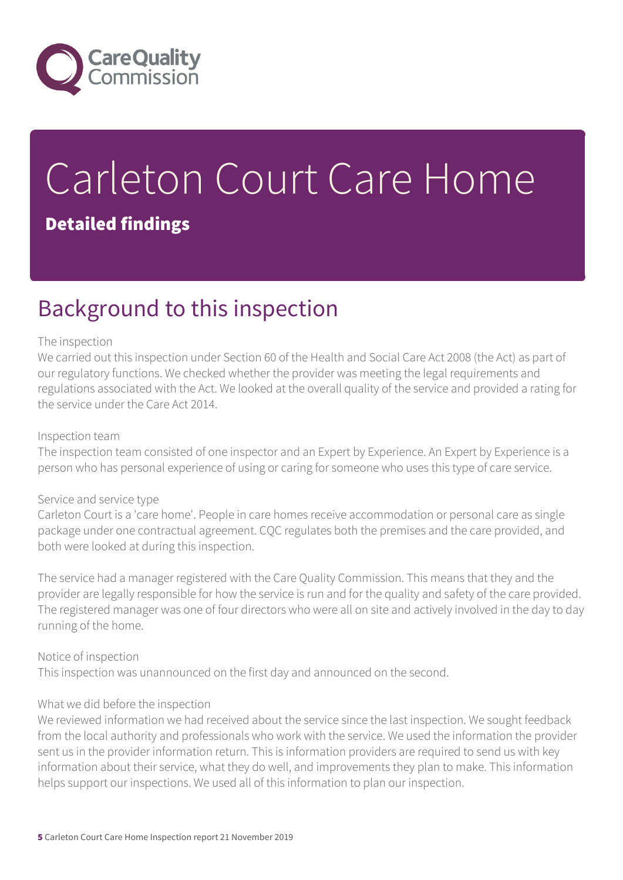

# Carleton Court Care Home

#### Detailed findings

### Background to this inspection

#### The inspection

We carried out this inspection under Section 60 of the Health and Social Care Act 2008 (the Act) as part of our regulatory functions. We checked whether the provider was meeting the legal requirements and regulations associated with the Act. We looked at the overall quality of the service and provided a rating for the service under the Care Act 2014.

#### Inspection team

The inspection team consisted of one inspector and an Expert by Experience. An Expert by Experience is a person who has personal experience of using or caring for someone who uses this type of care service.

#### Service and service type

Carleton Court is a 'care home'. People in care homes receive accommodation or personal care as single package under one contractual agreement. CQC regulates both the premises and the care provided, and both were looked at during this inspection.

The service had a manager registered with the Care Quality Commission. This means that they and the provider are legally responsible for how the service is run and for the quality and safety of the care provided. The registered manager was one of four directors who were all on site and actively involved in the day to day running of the home.

#### Notice of inspection

This inspection was unannounced on the first day and announced on the second.

#### What we did before the inspection

We reviewed information we had received about the service since the last inspection. We sought feedback from the local authority and professionals who work with the service. We used the information the provider sent us in the provider information return. This is information providers are required to send us with key information about their service, what they do well, and improvements they plan to make. This information helps support our inspections. We used all of this information to plan our inspection.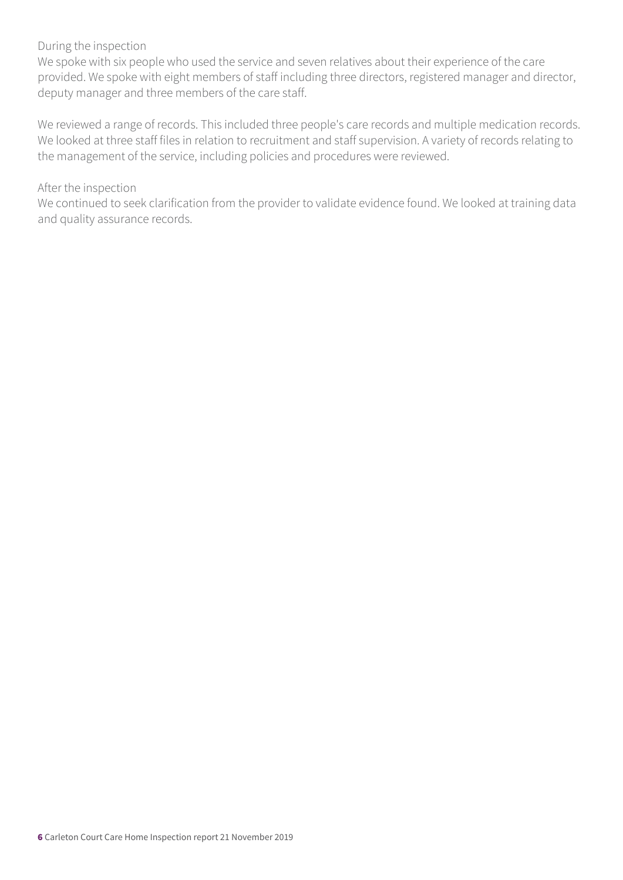#### During the inspection

We spoke with six people who used the service and seven relatives about their experience of the care provided. We spoke with eight members of staff including three directors, registered manager and director, deputy manager and three members of the care staff.

We reviewed a range of records. This included three people's care records and multiple medication records. We looked at three staff files in relation to recruitment and staff supervision. A variety of records relating to the management of the service, including policies and procedures were reviewed.

#### After the inspection

We continued to seek clarification from the provider to validate evidence found. We looked at training data and quality assurance records.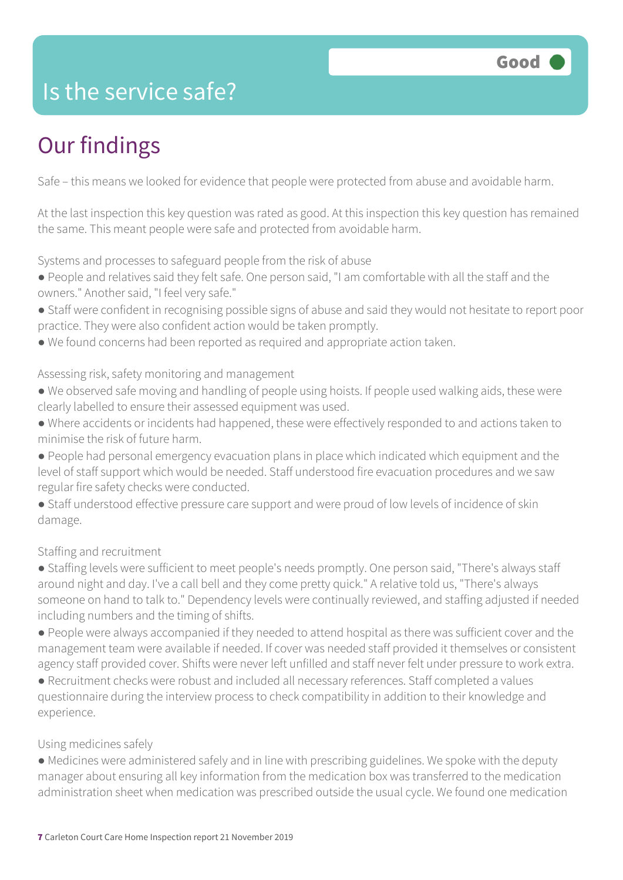### Is the service safe?

### Our findings

Safe – this means we looked for evidence that people were protected from abuse and avoidable harm.

At the last inspection this key question was rated as good. At this inspection this key question has remained the same. This meant people were safe and protected from avoidable harm.

Systems and processes to safeguard people from the risk of abuse

- People and relatives said they felt safe. One person said, "I am comfortable with all the staff and the owners." Another said, "I feel very safe."
- Staff were confident in recognising possible signs of abuse and said they would not hesitate to report poor practice. They were also confident action would be taken promptly.
- We found concerns had been reported as required and appropriate action taken.

Assessing risk, safety monitoring and management

- We observed safe moving and handling of people using hoists. If people used walking aids, these were clearly labelled to ensure their assessed equipment was used.
- Where accidents or incidents had happened, these were effectively responded to and actions taken to minimise the risk of future harm.
- People had personal emergency evacuation plans in place which indicated which equipment and the level of staff support which would be needed. Staff understood fire evacuation procedures and we saw regular fire safety checks were conducted.
- Staff understood effective pressure care support and were proud of low levels of incidence of skin damage.

Staffing and recruitment

- Staffing levels were sufficient to meet people's needs promptly. One person said, "There's always staff around night and day. I've a call bell and they come pretty quick." A relative told us, "There's always someone on hand to talk to." Dependency levels were continually reviewed, and staffing adjusted if needed including numbers and the timing of shifts.
- People were always accompanied if they needed to attend hospital as there was sufficient cover and the management team were available if needed. If cover was needed staff provided it themselves or consistent agency staff provided cover. Shifts were never left unfilled and staff never felt under pressure to work extra.
- Recruitment checks were robust and included all necessary references. Staff completed a values questionnaire during the interview process to check compatibility in addition to their knowledge and experience.

#### Using medicines safely

● Medicines were administered safely and in line with prescribing guidelines. We spoke with the deputy manager about ensuring all key information from the medication box was transferred to the medication administration sheet when medication was prescribed outside the usual cycle. We found one medication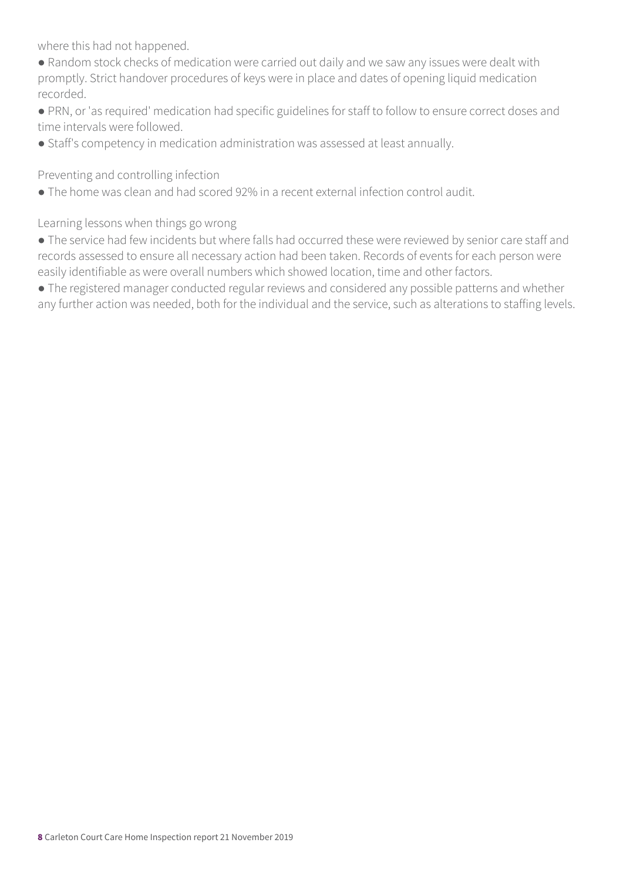where this had not happened.

- Random stock checks of medication were carried out daily and we saw any issues were dealt with promptly. Strict handover procedures of keys were in place and dates of opening liquid medication recorded.
- PRN, or 'as required' medication had specific guidelines for staff to follow to ensure correct doses and time intervals were followed.
- Staff's competency in medication administration was assessed at least annually.

Preventing and controlling infection

● The home was clean and had scored 92% in a recent external infection control audit.

Learning lessons when things go wrong

● The service had few incidents but where falls had occurred these were reviewed by senior care staff and records assessed to ensure all necessary action had been taken. Records of events for each person were easily identifiable as were overall numbers which showed location, time and other factors.

● The registered manager conducted regular reviews and considered any possible patterns and whether any further action was needed, both for the individual and the service, such as alterations to staffing levels.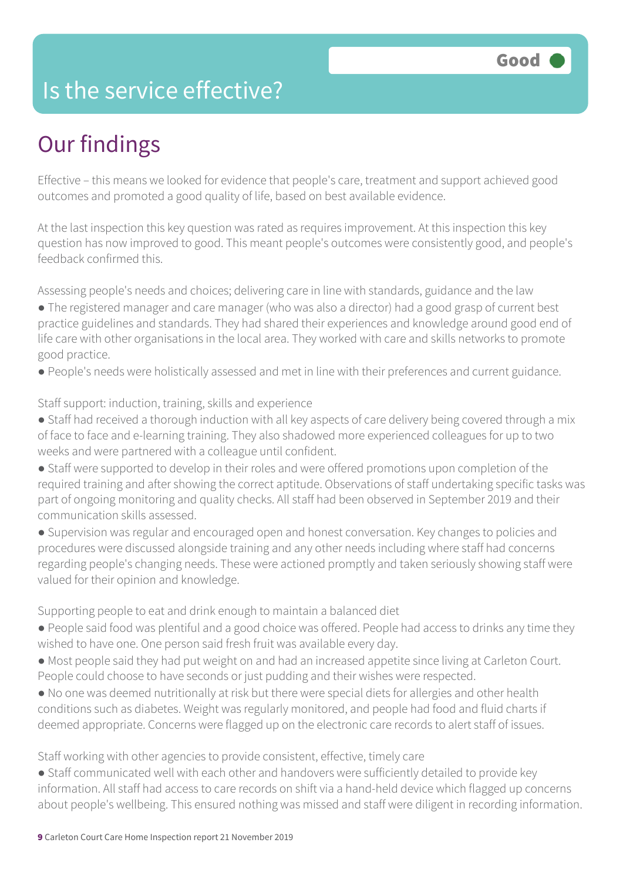### Is the service effective?

### Our findings

Effective – this means we looked for evidence that people's care, treatment and support achieved good outcomes and promoted a good quality of life, based on best available evidence.

At the last inspection this key question was rated as requires improvement. At this inspection this key question has now improved to good. This meant people's outcomes were consistently good, and people's feedback confirmed this.

Assessing people's needs and choices; delivering care in line with standards, guidance and the law

- The registered manager and care manager (who was also a director) had a good grasp of current best practice guidelines and standards. They had shared their experiences and knowledge around good end of life care with other organisations in the local area. They worked with care and skills networks to promote good practice.
- People's needs were holistically assessed and met in line with their preferences and current guidance.

#### Staff support: induction, training, skills and experience

- Staff had received a thorough induction with all key aspects of care delivery being covered through a mix of face to face and e-learning training. They also shadowed more experienced colleagues for up to two weeks and were partnered with a colleague until confident.
- Staff were supported to develop in their roles and were offered promotions upon completion of the required training and after showing the correct aptitude. Observations of staff undertaking specific tasks was part of ongoing monitoring and quality checks. All staff had been observed in September 2019 and their communication skills assessed.
- Supervision was regular and encouraged open and honest conversation. Key changes to policies and procedures were discussed alongside training and any other needs including where staff had concerns regarding people's changing needs. These were actioned promptly and taken seriously showing staff were valued for their opinion and knowledge.

Supporting people to eat and drink enough to maintain a balanced diet

- People said food was plentiful and a good choice was offered. People had access to drinks any time they wished to have one. One person said fresh fruit was available every day.
- Most people said they had put weight on and had an increased appetite since living at Carleton Court. People could choose to have seconds or just pudding and their wishes were respected.
- No one was deemed nutritionally at risk but there were special diets for allergies and other health conditions such as diabetes. Weight was regularly monitored, and people had food and fluid charts if deemed appropriate. Concerns were flagged up on the electronic care records to alert staff of issues.

Staff working with other agencies to provide consistent, effective, timely care

● Staff communicated well with each other and handovers were sufficiently detailed to provide key information. All staff had access to care records on shift via a hand-held device which flagged up concerns about people's wellbeing. This ensured nothing was missed and staff were diligent in recording information.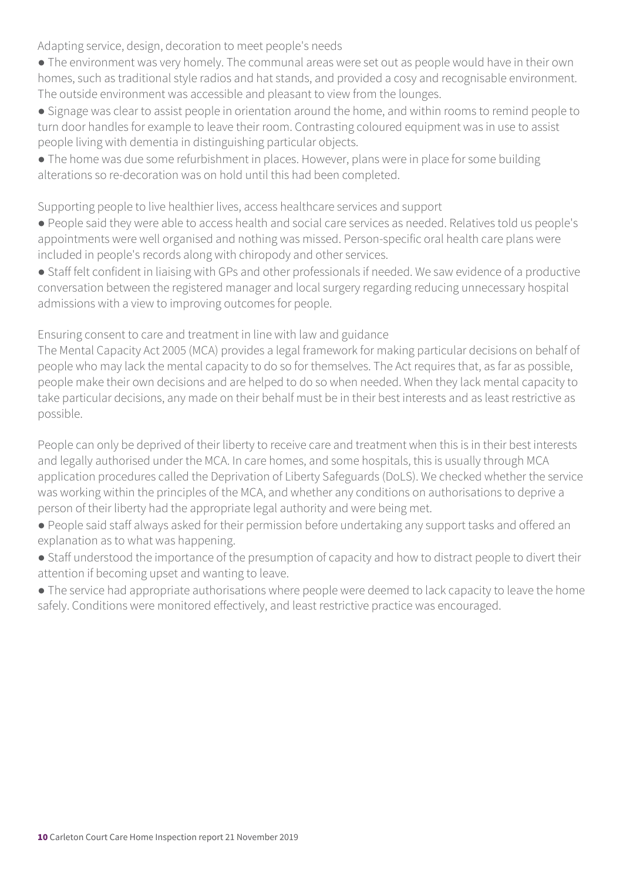Adapting service, design, decoration to meet people's needs

- The environment was very homely. The communal areas were set out as people would have in their own homes, such as traditional style radios and hat stands, and provided a cosy and recognisable environment. The outside environment was accessible and pleasant to view from the lounges.
- Signage was clear to assist people in orientation around the home, and within rooms to remind people to turn door handles for example to leave their room. Contrasting coloured equipment was in use to assist people living with dementia in distinguishing particular objects.
- The home was due some refurbishment in places. However, plans were in place for some building alterations so re-decoration was on hold until this had been completed.

Supporting people to live healthier lives, access healthcare services and support

- People said they were able to access health and social care services as needed. Relatives told us people's appointments were well organised and nothing was missed. Person-specific oral health care plans were included in people's records along with chiropody and other services.
- Staff felt confident in liaising with GPs and other professionals if needed. We saw evidence of a productive conversation between the registered manager and local surgery regarding reducing unnecessary hospital admissions with a view to improving outcomes for people.

Ensuring consent to care and treatment in line with law and guidance

The Mental Capacity Act 2005 (MCA) provides a legal framework for making particular decisions on behalf of people who may lack the mental capacity to do so for themselves. The Act requires that, as far as possible, people make their own decisions and are helped to do so when needed. When they lack mental capacity to take particular decisions, any made on their behalf must be in their best interests and as least restrictive as possible.

People can only be deprived of their liberty to receive care and treatment when this is in their best interests and legally authorised under the MCA. In care homes, and some hospitals, this is usually through MCA application procedures called the Deprivation of Liberty Safeguards (DoLS). We checked whether the service was working within the principles of the MCA, and whether any conditions on authorisations to deprive a person of their liberty had the appropriate legal authority and were being met.

- People said staff always asked for their permission before undertaking any support tasks and offered an explanation as to what was happening.
- Staff understood the importance of the presumption of capacity and how to distract people to divert their attention if becoming upset and wanting to leave.
- The service had appropriate authorisations where people were deemed to lack capacity to leave the home safely. Conditions were monitored effectively, and least restrictive practice was encouraged.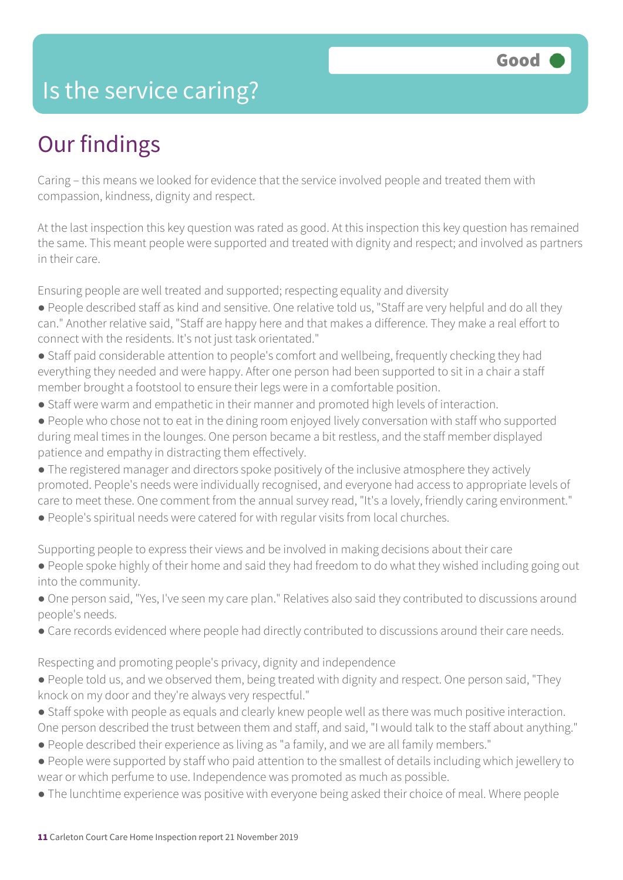### Is the service caring?

### Our findings

Caring – this means we looked for evidence that the service involved people and treated them with compassion, kindness, dignity and respect.

At the last inspection this key question was rated as good. At this inspection this key question has remained the same. This meant people were supported and treated with dignity and respect; and involved as partners in their care.

Ensuring people are well treated and supported; respecting equality and diversity

- People described staff as kind and sensitive. One relative told us, "Staff are very helpful and do all they can." Another relative said, "Staff are happy here and that makes a difference. They make a real effort to connect with the residents. It's not just task orientated."
- Staff paid considerable attention to people's comfort and wellbeing, frequently checking they had everything they needed and were happy. After one person had been supported to sit in a chair a staff member brought a footstool to ensure their legs were in a comfortable position.
- Staff were warm and empathetic in their manner and promoted high levels of interaction.
- People who chose not to eat in the dining room enjoyed lively conversation with staff who supported during meal times in the lounges. One person became a bit restless, and the staff member displayed patience and empathy in distracting them effectively.
- The registered manager and directors spoke positively of the inclusive atmosphere they actively promoted. People's needs were individually recognised, and everyone had access to appropriate levels of care to meet these. One comment from the annual survey read, "It's a lovely, friendly caring environment."
- People's spiritual needs were catered for with regular visits from local churches.

Supporting people to express their views and be involved in making decisions about their care

- People spoke highly of their home and said they had freedom to do what they wished including going out into the community.
- One person said, "Yes, I've seen my care plan." Relatives also said they contributed to discussions around people's needs.
- Care records evidenced where people had directly contributed to discussions around their care needs.

Respecting and promoting people's privacy, dignity and independence

- People told us, and we observed them, being treated with dignity and respect. One person said, "They knock on my door and they're always very respectful."
- Staff spoke with people as equals and clearly knew people well as there was much positive interaction. One person described the trust between them and staff, and said, "I would talk to the staff about anything."
- People described their experience as living as "a family, and we are all family members."
- People were supported by staff who paid attention to the smallest of details including which jewellery to wear or which perfume to use. Independence was promoted as much as possible.
- The lunchtime experience was positive with everyone being asked their choice of meal. Where people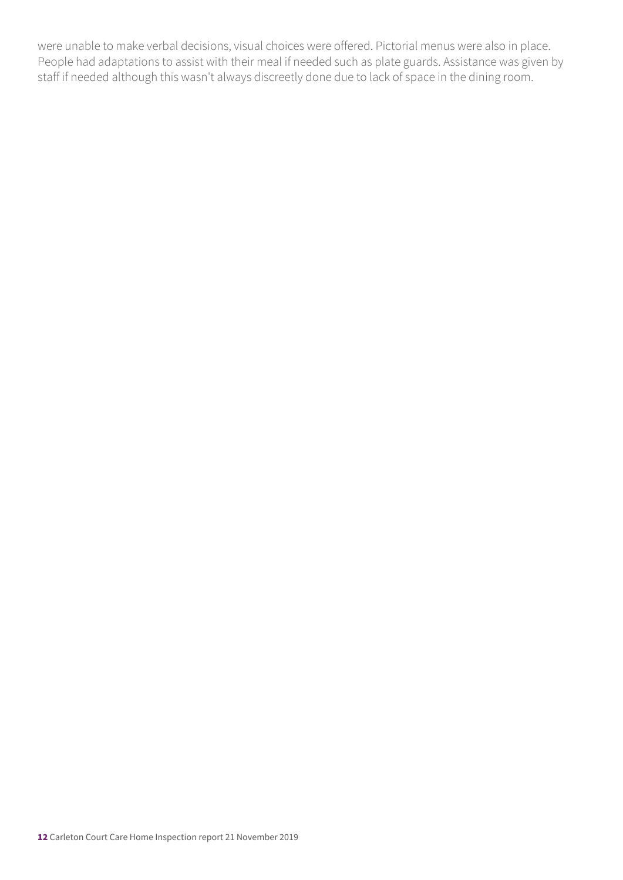were unable to make verbal decisions, visual choices were offered. Pictorial menus were also in place. People had adaptations to assist with their meal if needed such as plate guards. Assistance was given by staff if needed although this wasn't always discreetly done due to lack of space in the dining room.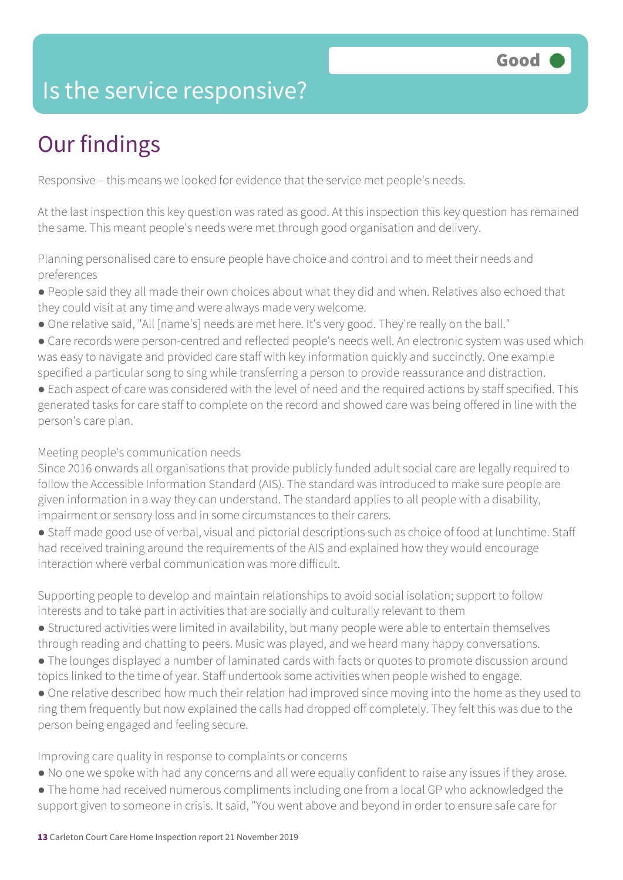### Is the service responsive?

### Our findings

Responsive – this means we looked for evidence that the service met people's needs.

At the last inspection this key question was rated as good. At this inspection this key question has remained the same. This meant people's needs were met through good organisation and delivery.

Planning personalised care to ensure people have choice and control and to meet their needs and preferences

- People said they all made their own choices about what they did and when. Relatives also echoed that they could visit at any time and were always made very welcome.
- One relative said, "All [name's] needs are met here. It's very good. They're really on the ball."
- Care records were person-centred and reflected people's needs well. An electronic system was used which was easy to navigate and provided care staff with key information quickly and succinctly. One example specified a particular song to sing while transferring a person to provide reassurance and distraction.
- Each aspect of care was considered with the level of need and the required actions by staff specified. This generated tasks for care staff to complete on the record and showed care was being offered in line with the person's care plan.

#### Meeting people's communication needs

Since 2016 onwards all organisations that provide publicly funded adult social care are legally required to follow the Accessible Information Standard (AIS). The standard was introduced to make sure people are given information in a way they can understand. The standard applies to all people with a disability, impairment or sensory loss and in some circumstances to their carers.

● Staff made good use of verbal, visual and pictorial descriptions such as choice of food at lunchtime. Staff had received training around the requirements of the AIS and explained how they would encourage interaction where verbal communication was more difficult.

Supporting people to develop and maintain relationships to avoid social isolation; support to follow interests and to take part in activities that are socially and culturally relevant to them

- Structured activities were limited in availability, but many people were able to entertain themselves through reading and chatting to peers. Music was played, and we heard many happy conversations.
- The lounges displayed a number of laminated cards with facts or quotes to promote discussion around topics linked to the time of year. Staff undertook some activities when people wished to engage.
- One relative described how much their relation had improved since moving into the home as they used to ring them frequently but now explained the calls had dropped off completely. They felt this was due to the person being engaged and feeling secure.

Improving care quality in response to complaints or concerns

- No one we spoke with had any concerns and all were equally confident to raise any issues if they arose.
- The home had received numerous compliments including one from a local GP who acknowledged the support given to someone in crisis. It said, "You went above and beyond in order to ensure safe care for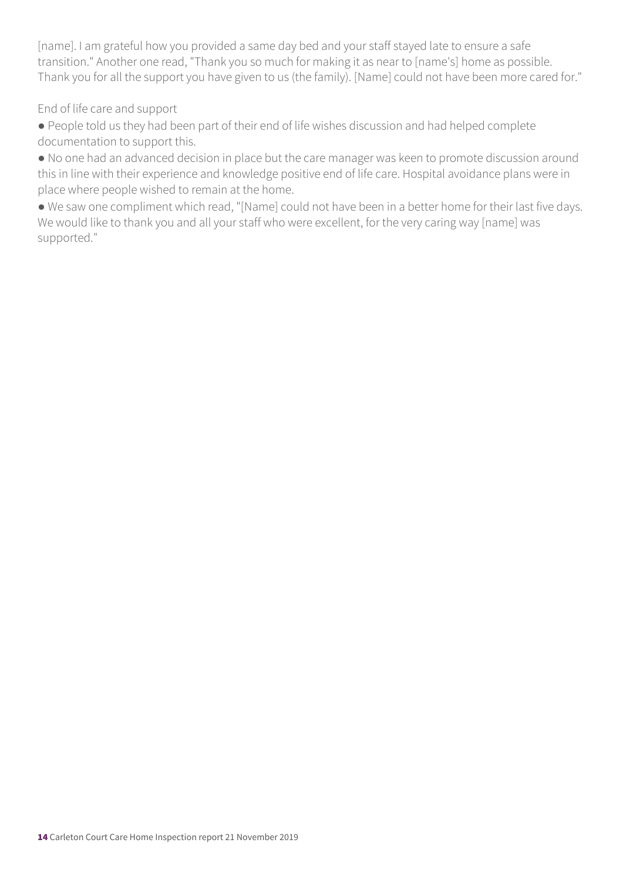[name]. I am grateful how you provided a same day bed and your staff stayed late to ensure a safe transition." Another one read, "Thank you so much for making it as near to [name's] home as possible. Thank you for all the support you have given to us (the family). [Name] could not have been more cared for."

End of life care and support

● People told us they had been part of their end of life wishes discussion and had helped complete documentation to support this.

● No one had an advanced decision in place but the care manager was keen to promote discussion around this in line with their experience and knowledge positive end of life care. Hospital avoidance plans were in place where people wished to remain at the home.

● We saw one compliment which read, "[Name] could not have been in a better home for their last five days. We would like to thank you and all your staff who were excellent, for the very caring way [name] was supported."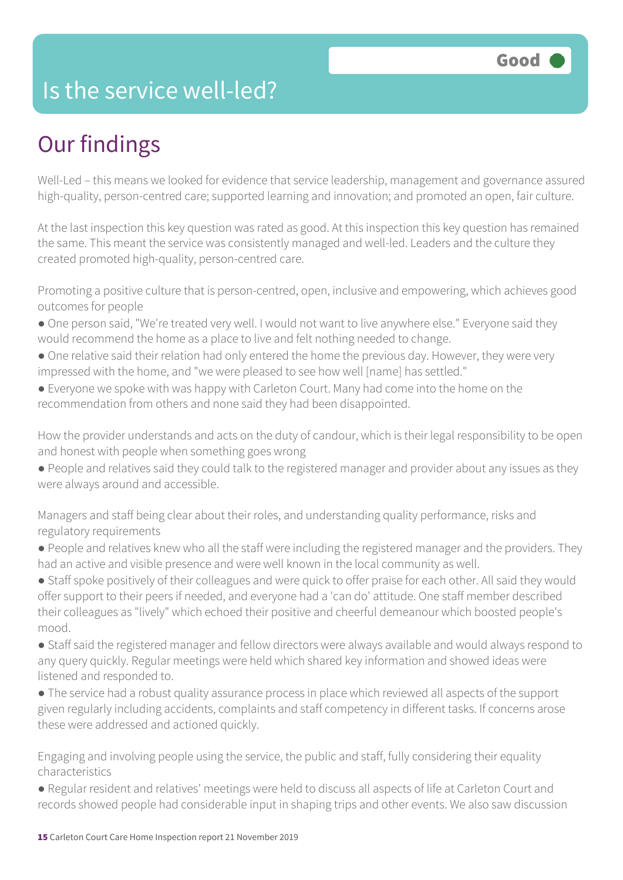### Is the service well-led?

### Our findings

Well-Led – this means we looked for evidence that service leadership, management and governance assured high-quality, person-centred care; supported learning and innovation; and promoted an open, fair culture.

At the last inspection this key question was rated as good. At this inspection this key question has remained the same. This meant the service was consistently managed and well-led. Leaders and the culture they created promoted high-quality, person-centred care.

Promoting a positive culture that is person-centred, open, inclusive and empowering, which achieves good outcomes for people

- One person said, "We're treated very well. I would not want to live anywhere else." Everyone said they would recommend the home as a place to live and felt nothing needed to change.
- One relative said their relation had only entered the home the previous day. However, they were very impressed with the home, and "we were pleased to see how well [name] has settled."
- Everyone we spoke with was happy with Carleton Court. Many had come into the home on the recommendation from others and none said they had been disappointed.

How the provider understands and acts on the duty of candour, which is their legal responsibility to be open and honest with people when something goes wrong

● People and relatives said they could talk to the registered manager and provider about any issues as they were always around and accessible.

Managers and staff being clear about their roles, and understanding quality performance, risks and regulatory requirements

● People and relatives knew who all the staff were including the registered manager and the providers. They had an active and visible presence and were well known in the local community as well.

● Staff spoke positively of their colleagues and were quick to offer praise for each other. All said they would offer support to their peers if needed, and everyone had a 'can do' attitude. One staff member described their colleagues as "lively" which echoed their positive and cheerful demeanour which boosted people's mood.

● Staff said the registered manager and fellow directors were always available and would always respond to any query quickly. Regular meetings were held which shared key information and showed ideas were listened and responded to.

● The service had a robust quality assurance process in place which reviewed all aspects of the support given regularly including accidents, complaints and staff competency in different tasks. If concerns arose these were addressed and actioned quickly.

Engaging and involving people using the service, the public and staff, fully considering their equality characteristics

● Regular resident and relatives' meetings were held to discuss all aspects of life at Carleton Court and records showed people had considerable input in shaping trips and other events. We also saw discussion